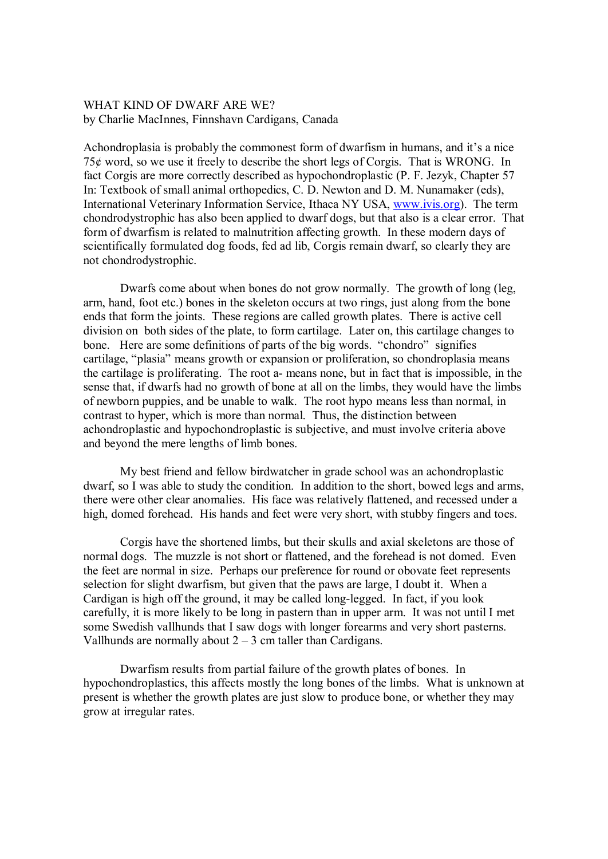## WHAT KIND OF DWARF ARE WE? by Charlie MacInnes, Finnshavn Cardigans, Canada

Achondroplasia is probably the commonest form of dwarfism in humans, and it's a nice 75¢ word, so we use it freely to describe the short legs of Corgis. That is WRONG. In fact Corgis are more correctly described as hypochondroplastic (P. F. Jezyk, Chapter 57 In: Textbook of small animal orthopedics, C. D. Newton and D. M. Nunamaker (eds), International Veterinary Information Service, Ithaca NY USA, www.ivis.org). The term chondrodystrophic has also been applied to dwarf dogs, but that also is a clear error. That form of dwarfism is related to malnutrition affecting growth. In these modern days of scientifically formulated dog foods, fed ad lib, Corgis remain dwarf, so clearly they are not chondrodystrophic.

Dwarfs come about when bones do not grow normally. The growth of long (leg, arm, hand, foot etc.) bones in the skeleton occurs at two rings, just along from the bone ends that form the joints. These regions are called growth plates. There is active cell division on both sides of the plate, to form cartilage. Later on, this cartilage changes to bone. Here are some definitions of parts of the big words. "chondro" signifies cartilage, "plasia" means growth or expansion or proliferation, so chondroplasia means the cartilage is proliferating. The root a- means none, but in fact that is impossible, in the sense that, if dwarfs had no growth of bone at all on the limbs, they would have the limbs of newborn puppies, and be unable to walk. The root hypo means less than normal, in contrast to hyper, which is more than normal. Thus, the distinction between achondroplastic and hypochondroplastic is subjective, and must involve criteria above and beyond the mere lengths of limb bones.

My best friend and fellow birdwatcher in grade school was an achondroplastic dwarf, so I was able to study the condition. In addition to the short, bowed legs and arms, there were other clear anomalies. His face was relatively flattened, and recessed under a high, domed forehead. His hands and feet were very short, with stubby fingers and toes.

Corgis have the shortened limbs, but their skulls and axial skeletons are those of normal dogs. The muzzle is not short or flattened, and the forehead is not domed. Even the feet are normal in size. Perhaps our preference for round or obovate feet represents selection for slight dwarfism, but given that the paws are large, I doubt it. When a Cardigan is high off the ground, it may be called long-legged. In fact, if you look carefully, it is more likely to be long in pastern than in upper arm. It was not until I met some Swedish vallhunds that I saw dogs with longer forearms and very short pasterns. Vallhunds are normally about  $2 - 3$  cm taller than Cardigans.

Dwarfism results from partial failure of the growth plates of bones. In hypochondroplastics, this affects mostly the long bones of the limbs. What is unknown at present is whether the growth plates are just slow to produce bone, or whether they may grow at irregular rates.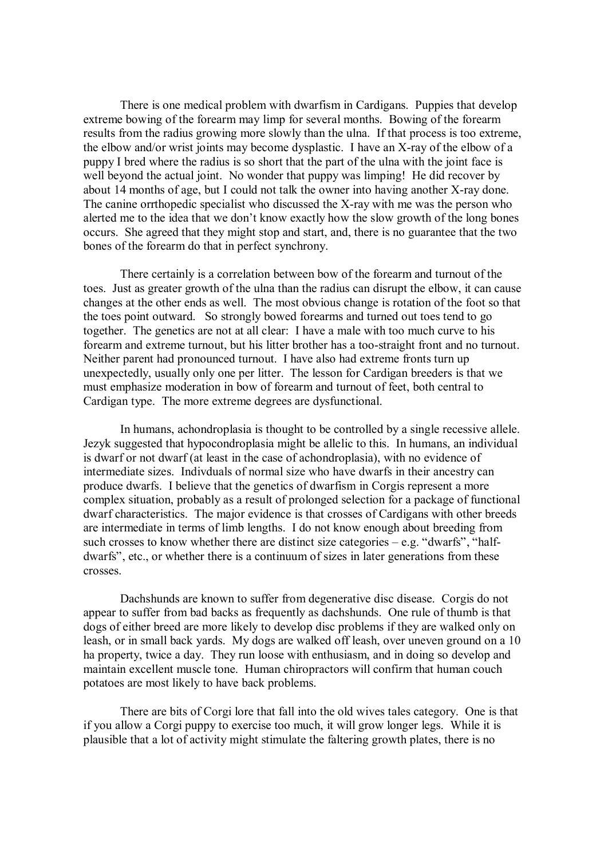There is one medical problem with dwarfism in Cardigans. Puppies that develop extreme bowing of the forearm may limp for several months. Bowing of the forearm results from the radius growing more slowly than the ulna. If that process is too extreme, the elbow and/or wrist joints may become dysplastic. I have an X-ray of the elbow of a puppy I bred where the radius is so short that the part of the ulna with the joint face is well beyond the actual joint. No wonder that puppy was limping! He did recover by about 14 months of age, but I could not talk the owner into having another X-ray done. The canine orrthopedic specialist who discussed the X-ray with me was the person who alerted me to the idea that we don't know exactly how the slow growth of the long bones occurs. She agreed that they might stop and start, and, there is no guarantee that the two bones of the forearm do that in perfect synchrony.

There certainly is a correlation between bow of the forearm and turnout of the toes. Just as greater growth of the ulna than the radius can disrupt the elbow, it can cause changes at the other ends as well. The most obvious change is rotation of the foot so that the toes point outward. So strongly bowed forearms and turned out toes tend to go together. The genetics are not at all clear: I have a male with too much curve to his forearm and extreme turnout, but his litter brother has a too-straight front and no turnout. Neither parent had pronounced turnout. I have also had extreme fronts turn up unexpectedly, usually only one per litter. The lesson for Cardigan breeders is that we must emphasize moderation in bow of forearm and turnout of feet, both central to Cardigan type. The more extreme degrees are dysfunctional.

In humans, achondroplasia is thought to be controlled by a single recessive allele. Jezyk suggested that hypocondroplasia might be allelic to this. In humans, an individual is dwarf or not dwarf (at least in the case of achondroplasia), with no evidence of intermediate sizes. Indivduals of normal size who have dwarfs in their ancestry can produce dwarfs. I believe that the genetics of dwarfism in Corgis represent a more complex situation, probably as a result of prolonged selection for a package of functional dwarf characteristics. The major evidence is that crosses of Cardigans with other breeds are intermediate in terms of limb lengths. I do not know enough about breeding from such crosses to know whether there are distinct size categories  $-$  e.g. "dwarfs", "halfdwarfs", etc., or whether there is a continuum of sizes in later generations from these crosses.

Dachshunds are known to suffer from degenerative disc disease. Corgis do not appear to suffer from bad backs as frequently as dachshunds. One rule of thumb is that dogs of either breed are more likely to develop disc problems if they are walked only on leash, or in small back yards. My dogs are walked off leash, over uneven ground on a 10 ha property, twice a day. They run loose with enthusiasm, and in doing so develop and maintain excellent muscle tone. Human chiropractors will confirm that human couch potatoes are most likely to have back problems.

There are bits of Corgi lore that fall into the old wives tales category. One is that if you allow a Corgi puppy to exercise too much, it will grow longer legs. While it is plausible that a lot of activity might stimulate the faltering growth plates, there is no